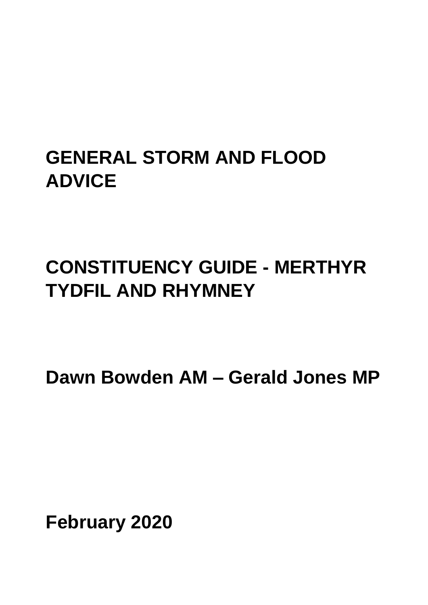# **GENERAL STORM AND FLOOD ADVICE**

# **CONSTITUENCY GUIDE - MERTHYR TYDFIL AND RHYMNEY**

**Dawn Bowden AM – Gerald Jones MP**

**February 2020**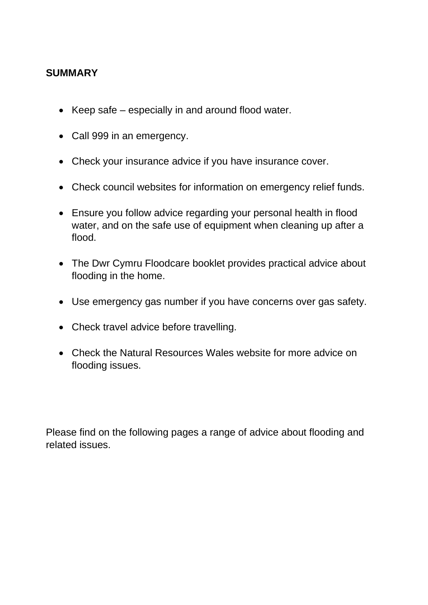## **SUMMARY**

- Keep safe especially in and around flood water.
- Call 999 in an emergency.
- Check your insurance advice if you have insurance cover.
- Check council websites for information on emergency relief funds.
- Ensure you follow advice regarding your personal health in flood water, and on the safe use of equipment when cleaning up after a flood.
- The Dwr Cymru Floodcare booklet provides practical advice about flooding in the home.
- Use emergency gas number if you have concerns over gas safety.
- Check travel advice before travelling.
- Check the Natural Resources Wales website for more advice on flooding issues.

Please find on the following pages a range of advice about flooding and related issues.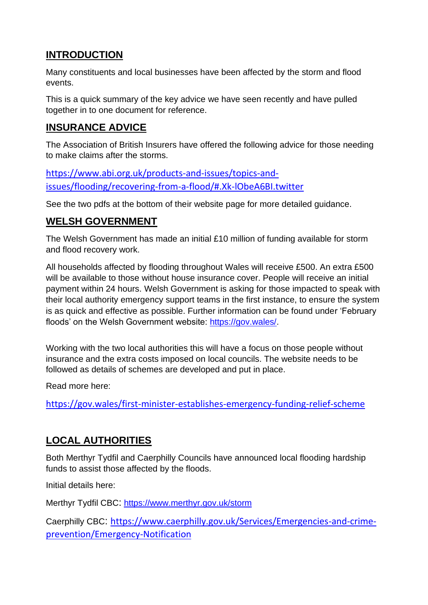## **INTRODUCTION**

Many constituents and local businesses have been affected by the storm and flood events.

This is a quick summary of the key advice we have seen recently and have pulled together in to one document for reference.

## **INSURANCE ADVICE**

The Association of British Insurers have offered the following advice for those needing to make claims after the storms.

[https://www.abi.org.uk/products-and-issues/topics-and](https://www.abi.org.uk/products-and-issues/topics-and-issues/flooding/recovering-from-a-flood/#.Xk-lObeA6BI.twitter)[issues/flooding/recovering-from-a-flood/#.Xk-lObeA6BI.twitter](https://www.abi.org.uk/products-and-issues/topics-and-issues/flooding/recovering-from-a-flood/#.Xk-lObeA6BI.twitter)

See the two pdfs at the bottom of their website page for more detailed guidance.

### **WELSH GOVERNMENT**

The Welsh Government has made an initial £10 million of funding available for storm and flood recovery work.

All households affected by flooding throughout Wales will receive £500. An extra £500 will be available to those without house insurance cover. People will receive an initial payment within 24 hours. Welsh Government is asking for those impacted to speak with their local authority emergency support teams in the first instance, to ensure the system is as quick and effective as possible. Further information can be found under 'February floods' on the Welsh Government website: [https://gov.wales/.](https://eur02.safelinks.protection.outlook.com/?url=https%3A%2F%2Fgov.wales%2F&data=02%7C01%7CDarren.Griffiths%40assembly.wales%7C723f05f4292e44d188e408d7b933bc45%7C38dc5129340c45148a044e8ef2771564%7C1%7C0%7C637181504167512438&sdata=clnqgkiQbjgAvXqjR8Y874HUgcBPZDsWv3CH4zyRy5o%3D&reserved=0)

Working with the two local authorities this will have a focus on those people without insurance and the extra costs imposed on local councils. The website needs to be followed as details of schemes are developed and put in place.

Read more here:

<https://gov.wales/first-minister-establishes-emergency-funding-relief-scheme>

## **LOCAL AUTHORITIES**

Both Merthyr Tydfil and Caerphilly Councils have announced local flooding hardship funds to assist those affected by the floods.

Initial details here:

Merthyr Tydfil CBC: <https://www.merthyr.gov.uk/storm>

Caerphilly CBC: [https://www.caerphilly.gov.uk/Services/Emergencies-and-crime](https://www.caerphilly.gov.uk/Services/Emergencies-and-crime-prevention/Emergency-Notification)[prevention/Emergency-Notification](https://www.caerphilly.gov.uk/Services/Emergencies-and-crime-prevention/Emergency-Notification)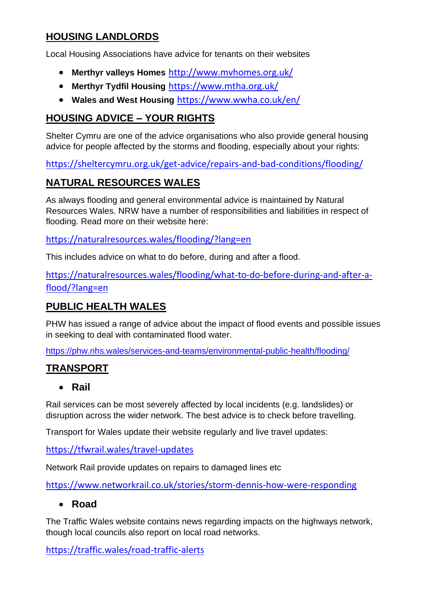## **HOUSING LANDLORDS**

Local Housing Associations have advice for tenants on their websites

- **Merthyr valleys Homes** <http://www.mvhomes.org.uk/>
- **Merthyr Tydfil Housing** <https://www.mtha.org.uk/>
- **Wales and West Housing** <https://www.wwha.co.uk/en/>

## **HOUSING ADVICE – YOUR RIGHTS**

Shelter Cymru are one of the advice organisations who also provide general housing advice for people affected by the storms and flooding, especially about your rights:

<https://sheltercymru.org.uk/get-advice/repairs-and-bad-conditions/flooding/>

## **NATURAL RESOURCES WALES**

As always flooding and general environmental advice is maintained by Natural Resources Wales. NRW have a number of responsibilities and liabilities in respect of flooding. Read more on their website here:

<https://naturalresources.wales/flooding/?lang=en>

This includes advice on what to do before, during and after a flood.

[https://naturalresources.wales/flooding/what-to-do-before-during-and-after-a](https://naturalresources.wales/flooding/what-to-do-before-during-and-after-a-flood/?lang=en)[flood/?lang=en](https://naturalresources.wales/flooding/what-to-do-before-during-and-after-a-flood/?lang=en)

## **PUBLIC HEALTH WALES**

PHW has issued a range of advice about the impact of flood events and possible issues in seeking to deal with contaminated flood water.

<https://phw.nhs.wales/services-and-teams/environmental-public-health/flooding/>

# **TRANSPORT**

#### • **Rail**

Rail services can be most severely affected by local incidents (e.g. landslides) or disruption across the wider network. The best advice is to check before travelling.

Transport for Wales update their website regularly and live travel updates:

<https://tfwrail.wales/travel-updates>

Network Rail provide updates on repairs to damaged lines etc

<https://www.networkrail.co.uk/stories/storm-dennis-how-were-responding>

#### • **Road**

The Traffic Wales website contains news regarding impacts on the highways network, though local councils also report on local road networks.

<https://traffic.wales/road-traffic-alerts>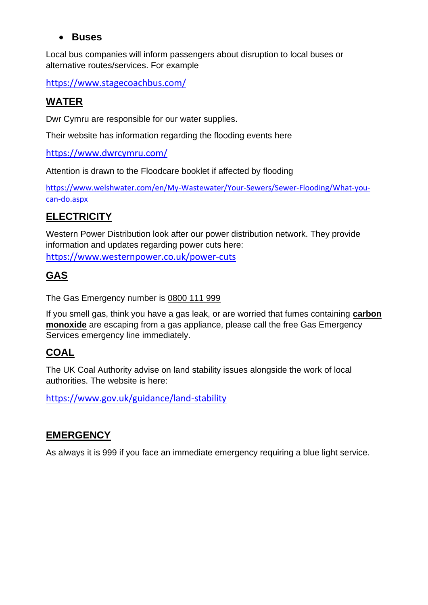#### • **Buses**

Local bus companies will inform passengers about disruption to local buses or alternative routes/services. For example

<https://www.stagecoachbus.com/>

# **WATER**

Dwr Cymru are responsible for our water supplies.

Their website has information regarding the flooding events here

<https://www.dwrcymru.com/>

Attention is drawn to the Floodcare booklet if affected by flooding

[https://www.welshwater.com/en/My-Wastewater/Your-Sewers/Sewer-Flooding/What-you](https://eur02.safelinks.protection.outlook.com/?url=https%3A%2F%2Fwww.welshwater.com%2Fen%2FMy-Wastewater%2FYour-Sewers%2FSewer-Flooding%2FWhat-you-can-do.aspx&data=02%7C01%7CMartin.Eaglestone%40assembly.wales%7Cbf398baa7f8c4b0f384508d7b9338a3c%7C38dc5129340c45148a044e8ef2771564%7C1%7C0%7C637181503321658269&sdata=Y1u64qhHGUrD34GyZA%2B30ggV5pW%2Fj84zx5u0gPCwPQI%3D&reserved=0)[can-do.aspx](https://eur02.safelinks.protection.outlook.com/?url=https%3A%2F%2Fwww.welshwater.com%2Fen%2FMy-Wastewater%2FYour-Sewers%2FSewer-Flooding%2FWhat-you-can-do.aspx&data=02%7C01%7CMartin.Eaglestone%40assembly.wales%7Cbf398baa7f8c4b0f384508d7b9338a3c%7C38dc5129340c45148a044e8ef2771564%7C1%7C0%7C637181503321658269&sdata=Y1u64qhHGUrD34GyZA%2B30ggV5pW%2Fj84zx5u0gPCwPQI%3D&reserved=0)

# **ELECTRICITY**

Western Power Distribution look after our power distribution network. They provide information and updates regarding power cuts here:

<https://www.westernpower.co.uk/power-cuts>

# **GAS**

The Gas Emergency number is [0800 111 999](tel:0800111999)

If you smell gas, think you have a gas leak, or are worried that fumes containing **[carbon](https://www.britishgas.co.uk/energy/gas-and-electricity/gas-safety.html)  [monoxide](https://www.britishgas.co.uk/energy/gas-and-electricity/gas-safety.html)** are escaping from a gas appliance, please call the free Gas Emergency Services emergency line immediately.

## **COAL**

The UK Coal Authority advise on land stability issues alongside the work of local authorities. The website is here:

<https://www.gov.uk/guidance/land-stability>

## **EMERGENCY**

As always it is 999 if you face an immediate emergency requiring a blue light service.